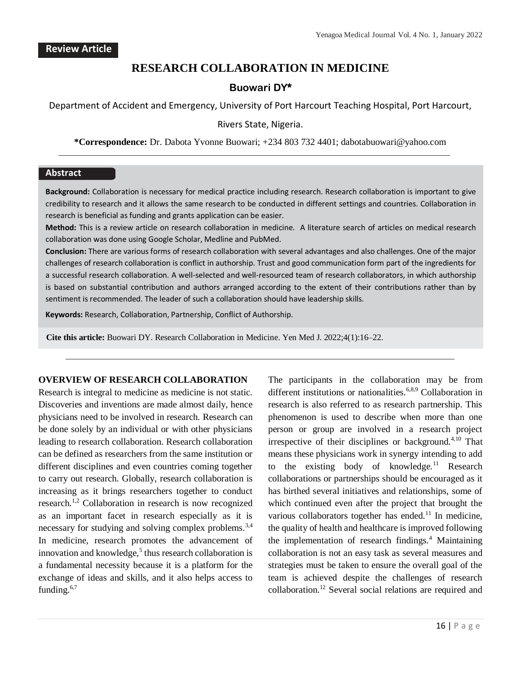# **RESEARCH COLLABORATION IN MEDICINE**

# **Buowari DY\***

Department of Accident and Emergency, University of Port Harcourt Teaching Hospital, Port Harcourt,

#### Rivers State, Nigeria.

**\*Correspondence:** Dr. Dabota Yvonne Buowari; +234 803 732 4401; dabotabuowari@yahoo.com

### **Abstract**

**Background:** Collaboration is necessary for medical practice including research. Research collaboration is important to give credibility to research and it allows the same research to be conducted in different settings and countries. Collaboration in research is beneficial as funding and grants application can be easier.

**Method:** This is a review article on research collaboration in medicine. A literature search of articles on medical research collaboration was done using Google Scholar, Medline and PubMed.

**Conclusion:** There are various forms of research collaboration with several advantages and also challenges. One of the major challenges of research collaboration is conflict in authorship. Trust and good communication form part of the ingredients for a successful research collaboration. A well-selected and well-resourced team of research collaborators, in which authorship is based on substantial contribution and authors arranged according to the extent of their contributions rather than by sentiment is recommended. The leader of such a collaboration should have leadership skills.

**Keywords:** Research, Collaboration, Partnership, Conflict of Authorship.

**Cite this article:** Buowari DY. Research Collaboration in Medicine. Yen Med J. 2022;4(1):16–22.

#### **OVERVIEW OF RESEARCH COLLABORATION**

Research is integral to medicine as medicine is not static. Discoveries and inventions are made almost daily, hence physicians need to be involved in research. Research can be done solely by an individual or with other physicians leading to research collaboration. Research collaboration can be defined as researchers from the same institution or different disciplines and even countries coming together to carry out research. Globally, research collaboration is increasing as it brings researchers together to conduct research.<sup>1,2</sup> Collaboration in research is now recognized as an important facet in research especially as it is necessary for studying and solving complex problems.<sup>3,4</sup> In medicine, research promotes the advancement of innovation and knowledge, $5$  thus research collaboration is a fundamental necessity because it is a platform for the exchange of ideas and skills, and it also helps access to funding. $6,7$ 

The participants in the collaboration may be from different institutions or nationalities.<sup>6,8,9</sup> Collaboration in research is also referred to as research partnership. This phenomenon is used to describe when more than one person or group are involved in a research project irrespective of their disciplines or background.<sup>4,10</sup> That means these physicians work in synergy intending to add to the existing body of knowledge.<sup>11</sup> Research collaborations or partnerships should be encouraged as it has birthed several initiatives and relationships, some of which continued even after the project that brought the various collaborators together has ended. $11$  In medicine, the quality of health and healthcare is improved following the implementation of research findings.<sup>4</sup> Maintaining collaboration is not an easy task as several measures and strategies must be taken to ensure the overall goal of the team is achieved despite the challenges of research collaboration.<sup>12</sup> Several social relations are required and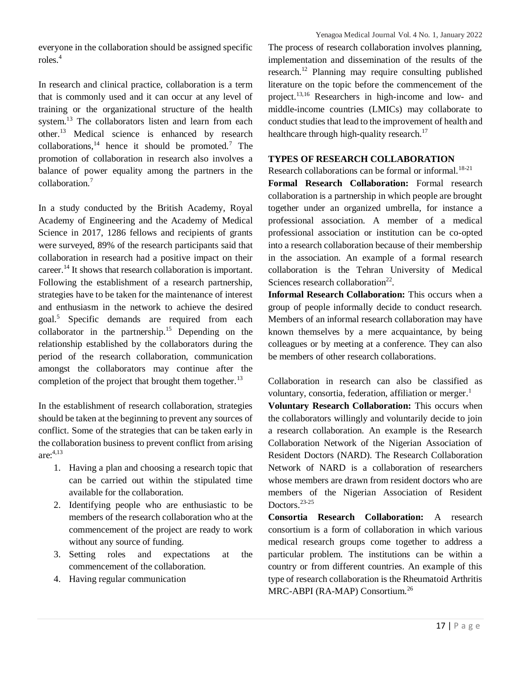everyone in the collaboration should be assigned specific roles.<sup>4</sup>

In research and clinical practice, collaboration is a term that is commonly used and it can occur at any level of training or the organizational structure of the health system.<sup>13</sup> The collaborators listen and learn from each other.<sup>13</sup> Medical science is enhanced by research collaborations,  $14$  hence it should be promoted.<sup>7</sup> The promotion of collaboration in research also involves a balance of power equality among the partners in the collaboration.<sup>7</sup>

In a study conducted by the British Academy, Royal Academy of Engineering and the Academy of Medical Science in 2017, 1286 fellows and recipients of grants were surveyed, 89% of the research participants said that collaboration in research had a positive impact on their career.<sup>14</sup> It shows that research collaboration is important. Following the establishment of a research partnership, strategies have to be taken for the maintenance of interest and enthusiasm in the network to achieve the desired goal.<sup>5</sup> Specific demands are required from each collaborator in the partnership.<sup>15</sup> Depending on the relationship established by the collaborators during the period of the research collaboration, communication amongst the collaborators may continue after the completion of the project that brought them together. $^{13}$ 

In the establishment of research collaboration, strategies should be taken at the beginning to prevent any sources of conflict. Some of the strategies that can be taken early in the collaboration business to prevent conflict from arising are:4,13

- 1. Having a plan and choosing a research topic that can be carried out within the stipulated time available for the collaboration.
- 2. Identifying people who are enthusiastic to be members of the research collaboration who at the commencement of the project are ready to work without any source of funding.
- 3. Setting roles and expectations at the commencement of the collaboration.
- 4. Having regular communication

The process of research collaboration involves planning, implementation and dissemination of the results of the research.<sup>12</sup> Planning may require consulting published literature on the topic before the commencement of the project.13,16 Researchers in high-income and low- and middle-income countries (LMICs) may collaborate to conduct studies that lead to the improvement of health and healthcare through high-quality research.<sup>17</sup>

## **TYPES OF RESEARCH COLLABORATION**

Research collaborations can be formal or informal.<sup>18-21</sup>

**Formal Research Collaboration:** Formal research collaboration is a partnership in which people are brought together under an organized umbrella, for instance a professional association. A member of a medical professional association or institution can be co-opted into a research collaboration because of their membership in the association. An example of a formal research collaboration is the Tehran University of Medical Sciences research collaboration $^{22}$ .

**Informal Research Collaboration:** This occurs when a group of people informally decide to conduct research. Members of an informal research collaboration may have known themselves by a mere acquaintance, by being colleagues or by meeting at a conference. They can also be members of other research collaborations.

Collaboration in research can also be classified as voluntary, consortia, federation, affiliation or merger.<sup>1</sup>

**Voluntary Research Collaboration:** This occurs when the collaborators willingly and voluntarily decide to join a research collaboration. An example is the Research Collaboration Network of the Nigerian Association of Resident Doctors (NARD). The Research Collaboration Network of NARD is a collaboration of researchers whose members are drawn from resident doctors who are members of the Nigerian Association of Resident Doctors.<sup>23-25</sup>

**Consortia Research Collaboration:** A research consortium is a form of collaboration in which various medical research groups come together to address a particular problem. The institutions can be within a country or from different countries. An example of this type of research collaboration is the Rheumatoid Arthritis MRC-ABPI (RA-MAP) Consortium.<sup>26</sup>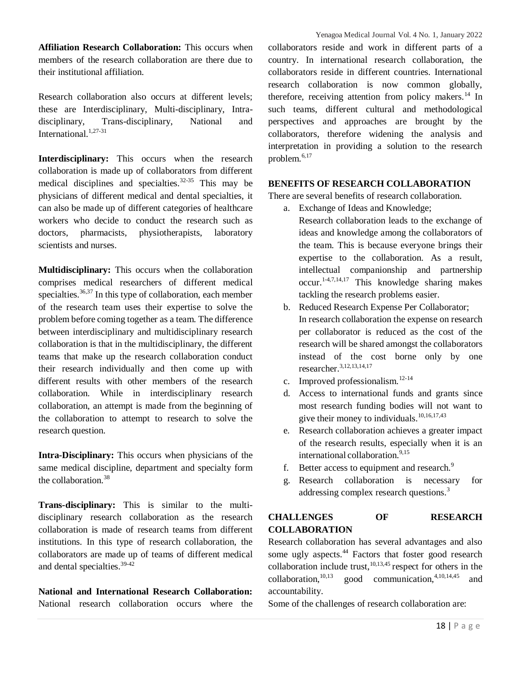**Affiliation Research Collaboration:** This occurs when members of the research collaboration are there due to their institutional affiliation.

Research collaboration also occurs at different levels; these are Interdisciplinary, Multi-disciplinary, Intradisciplinary, Trans-disciplinary, National and International.<sup>1,27-31</sup>

**Interdisciplinary:** This occurs when the research collaboration is made up of collaborators from different medical disciplines and specialties.32-35 This may be physicians of different medical and dental specialties, it can also be made up of different categories of healthcare workers who decide to conduct the research such as doctors, pharmacists, physiotherapists, laboratory scientists and nurses.

**Multidisciplinary:** This occurs when the collaboration comprises medical researchers of different medical specialties.<sup>36,37</sup> In this type of collaboration, each member of the research team uses their expertise to solve the problem before coming together as a team. The difference between interdisciplinary and multidisciplinary research collaboration is that in the multidisciplinary, the different teams that make up the research collaboration conduct their research individually and then come up with different results with other members of the research collaboration. While in interdisciplinary research collaboration, an attempt is made from the beginning of the collaboration to attempt to research to solve the research question.

**Intra-Disciplinary:** This occurs when physicians of the same medical discipline, department and specialty form the collaboration.<sup>38</sup>

**Trans-disciplinary:** This is similar to the multidisciplinary research collaboration as the research collaboration is made of research teams from different institutions. In this type of research collaboration, the collaborators are made up of teams of different medical and dental specialties.<sup>39-42</sup>

**National and International Research Collaboration:**  National research collaboration occurs where the collaborators reside and work in different parts of a country. In international research collaboration, the collaborators reside in different countries. International research collaboration is now common globally, therefore, receiving attention from policy makers. $^{14}$  In such teams, different cultural and methodological perspectives and approaches are brought by the collaborators, therefore widening the analysis and interpretation in providing a solution to the research problem.6,17

### **BENEFITS OF RESEARCH COLLABORATION**

There are several benefits of research collaboration.

- a. Exchange of Ideas and Knowledge;
	- Research collaboration leads to the exchange of ideas and knowledge among the collaborators of the team. This is because everyone brings their expertise to the collaboration. As a result, intellectual companionship and partnership  $\mathrm{occur.}^{1-4,7,14,17}$  This knowledge sharing makes tackling the research problems easier.
- b. Reduced Research Expense Per Collaborator; In research collaboration the expense on research per collaborator is reduced as the cost of the research will be shared amongst the collaborators instead of the cost borne only by one researcher.3,12,13,14,17
- c. Improved professionalism. $12-14$
- d. Access to international funds and grants since most research funding bodies will not want to give their money to individuals. $10,16,17,43$
- e. Research collaboration achieves a greater impact of the research results, especially when it is an international collaboration.<sup>9,15</sup>
- f. Better access to equipment and research.<sup>9</sup>
- g. Research collaboration is necessary for addressing complex research questions.<sup>3</sup>

## **CHALLENGES OF RESEARCH COLLABORATION**

Research collaboration has several advantages and also some ugly aspects.<sup>44</sup> Factors that foster good research collaboration include trust, $10,13,45$  respect for others in the collaboration, $10,13$  good communication, $4,10,14,45$  and accountability.

Some of the challenges of research collaboration are: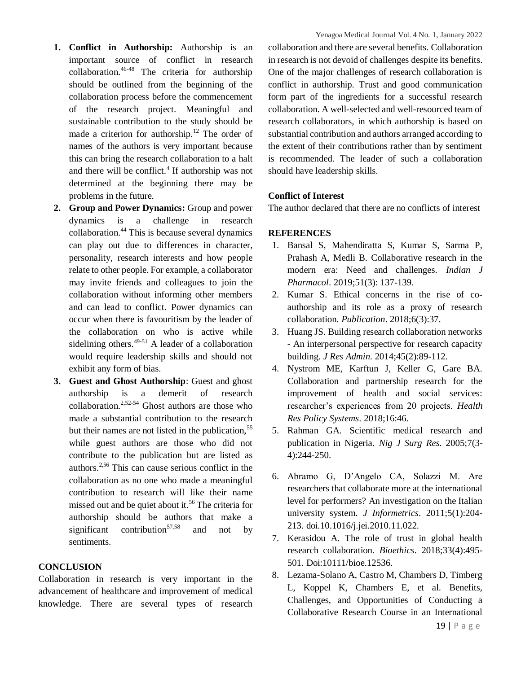- **1. Conflict in Authorship:** Authorship is an important source of conflict in research  $collaboration.<sup>46-48</sup>$  The criteria for authorship should be outlined from the beginning of the collaboration process before the commencement of the research project. Meaningful and sustainable contribution to the study should be made a criterion for authorship.<sup>12</sup> The order of names of the authors is very important because this can bring the research collaboration to a halt and there will be conflict.<sup>4</sup> If authorship was not determined at the beginning there may be problems in the future.
- **2. Group and Power Dynamics:** Group and power dynamics is a challenge in research collaboration.<sup>44</sup> This is because several dynamics can play out due to differences in character, personality, research interests and how people relate to other people. For example, a collaborator may invite friends and colleagues to join the collaboration without informing other members and can lead to conflict. Power dynamics can occur when there is favouritism by the leader of the collaboration on who is active while sidelining others. $49-51$  A leader of a collaboration would require leadership skills and should not exhibit any form of bias.
- **3. Guest and Ghost Authorship**: Guest and ghost authorship is a demerit of research collaboration.<sup>2,52-54</sup> Ghost authors are those who made a substantial contribution to the research but their names are not listed in the publication,<sup>55</sup> while guest authors are those who did not contribute to the publication but are listed as authors.2,56 This can cause serious conflict in the collaboration as no one who made a meaningful contribution to research will like their name missed out and be quiet about it.<sup>56</sup> The criteria for authorship should be authors that make a significant contribution<sup>57,58</sup> and not by sentiments.

### **CONCLUSION**

Collaboration in research is very important in the advancement of healthcare and improvement of medical knowledge. There are several types of research

collaboration and there are several benefits. Collaboration in research is not devoid of challenges despite its benefits. One of the major challenges of research collaboration is conflict in authorship. Trust and good communication form part of the ingredients for a successful research collaboration. A well-selected and well-resourced team of research collaborators, in which authorship is based on substantial contribution and authors arranged according to the extent of their contributions rather than by sentiment is recommended. The leader of such a collaboration should have leadership skills.

## **Conflict of Interest**

The author declared that there are no conflicts of interest

## **REFERENCES**

- 1. Bansal S, Mahendiratta S, Kumar S, Sarma P, Prahash A, Medli B. Collaborative research in the modern era: Need and challenges. *Indian J Pharmacol*. 2019;51(3): 137-139.
- 2. Kumar S. Ethical concerns in the rise of coauthorship and its role as a proxy of research collaboration. *Publication*. 2018;6(3):37.
- 3. Huang JS. Building research collaboration networks - An interpersonal perspective for research capacity building. *J Res Admin*. 2014;45(2):89-112.
- 4. Nystrom ME, Karftun J, Keller G, Gare BA. Collaboration and partnership research for the improvement of health and social services: researcher's experiences from 20 projects. *Health Res Policy Systems*. 2018;16:46.
- 5. Rahman GA. Scientific medical research and publication in Nigeria. *Nig J Surg Res*. 2005;7(3- 4):244-250.
- 6. Abramo G, D'Angelo CA, Solazzi M. Are researchers that collaborate more at the international level for performers? An investigation on the Italian university system. *J Informetrics*. 2011;5(1):204- 213. doi.10.1016/j.jei.2010.11.022.
- 7. Kerasidou A. The role of trust in global health research collaboration. *Bioethics*. 2018;33(4):495- 501. Doi:10111/bioe.12536.
- 8. Lezama-Solano A, Castro M, Chambers D, Timberg L, Koppel K, Chambers E, et al. Benefits, Challenges, and Opportunities of Conducting a Collaborative Research Course in an International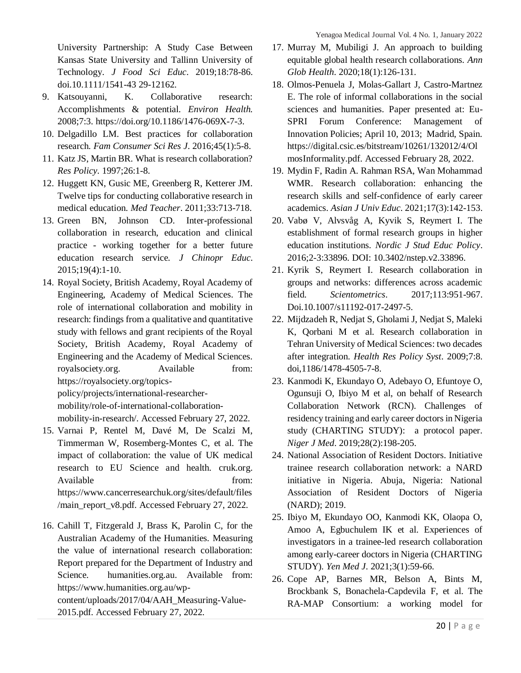University Partnership: A Study Case Between Kansas State University and Tallinn University of Technology. *J Food Sci Educ*. 2019;18:78-86. doi.10.1111/1541-43 29-12162.

- 9. Katsouyanni, K. Collaborative research: Accomplishments & potential. *Environ Health.* 2008;7:3. https://doi.org/10.1186/1476-069X-7-3.
- 10. Delgadillo LM. Best practices for collaboration research. *Fam Consumer Sci Res J*. 2016;45(1):5-8.
- 11. Katz JS, Martin BR. What is research collaboration? *Res Policy*. 1997;26:1-8.
- 12. Huggett KN, Gusic ME, Greenberg R, Ketterer JM. Twelve tips for conducting collaborative research in medical education. *Med Teacher*. 2011;33:713-718.
- 13. Green BN, Johnson CD. Inter-professional collaboration in research, education and clinical practice - working together for a better future education research service. *J Chinopr Educ*. 2015;19(4):1-10.
- 14. Royal Society, British Academy, Royal Academy of Engineering, Academy of Medical Sciences. The role of international collaboration and mobility in research: findings from a qualitative and quantitative study with fellows and grant recipients of the Royal Society, British Academy, Royal Academy of Engineering and the Academy of Medical Sciences. royalsociety.org. Available from: https://royalsociety.org/topics-

policy/projects/international-researchermobility/role-of-international-collaborationmobility-in-research/. Accessed February 27, 2022.

- 15. Varnai P, Rentel M, Davé M, De Scalzi M, Timmerman W, Rosemberg-Montes C, et al. The impact of collaboration: the value of UK medical research to EU Science and health. cruk.org. Available from: https://www.cancerresearchuk.org/sites/default/files /main\_report\_v8.pdf. Accessed February 27, 2022.
- 16. Cahill T, Fitzgerald J, Brass K, Parolin C, for the Australian Academy of the Humanities. Measuring the value of international research collaboration: Report prepared for the Department of Industry and Science. humanities.org.au. Available from: https://www.humanities.org.au/wp-

content/uploads/2017/04/AAH\_Measuring-Value-2015.pdf. Accessed February 27, 2022.

- 17. Murray M, Mubiligi J. An approach to building equitable global health research collaborations. *Ann Glob Health*. 2020;18(1):126-131.
- 18. Olmos-Penuela J, Molas-Gallart J, Castro-Martnez E. The role of informal collaborations in the social sciences and humanities. Paper presented at: Eu-SPRI Forum Conference: Management of Innovation Policies; April 10, 2013; Madrid, Spain. https://digital.csic.es/bitstream/10261/132012/4/Ol mosInformality.pdf. Accessed February 28, 2022.
- 19. Mydin F, Radin A. Rahman RSA, Wan Mohammad WMR. Research collaboration: enhancing the research skills and self-confidence of early career academics. *Asian J Univ Educ*. 2021;17(3):142-153.
- 20. Vabø V, Alvsvåg A, Kyvik S, Reymert I. The establishment of formal research groups in higher education institutions. *Nordic J Stud Educ Policy*. 2016;2-3:33896. DOI: 10.3402/nstep.v2.33896.
- 21. Kyrik S, Reymert I. Research collaboration in groups and networks: differences across academic field. *Scientometrics*. 2017;113:951-967. Doi.10.1007/s11192-017-2497-5.
- 22. Mijdzadeh R, Nedjat S, Gholami J, Nedjat S, Maleki K, Qorbani M et al. Research collaboration in Tehran University of Medical Sciences: two decades after integration. *Health Res Policy Syst*. 2009;7:8. doi,1186/1478-4505-7-8.
- 23. Kanmodi K, Ekundayo O, Adebayo O, Efuntoye O, Ogunsuji O, Ibiyo M et al, on behalf of Research Collaboration Network (RCN). Challenges of residency training and early career doctors in Nigeria study (CHARTING STUDY): a protocol paper. *Niger J Med*. 2019;28(2):198-205.
- 24. National Association of Resident Doctors. Initiative trainee research collaboration network: a NARD initiative in Nigeria. Abuja, Nigeria: National Association of Resident Doctors of Nigeria (NARD); 2019.
- 25. Ibiyo M, Ekundayo OO, Kanmodi KK, Olaopa O, Amoo A, Egbuchulem IK et al. Experiences of investigators in a trainee-led research collaboration among early-career doctors in Nigeria (CHARTING STUDY). *Yen Med J*. 2021;3(1):59-66.
- 26. Cope AP, Barnes MR, Belson A, Bints M, Brockbank S, Bonachela-Capdevila F, et al. The RA-MAP Consortium: a working model for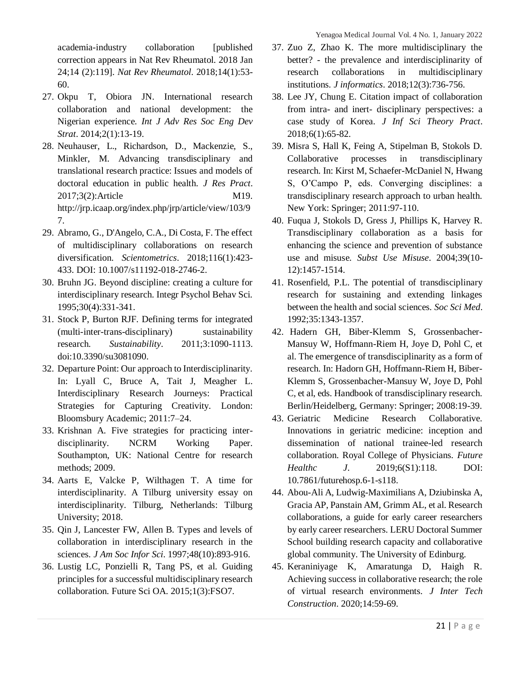Yenagoa Medical Journal Vol. 4 No. 1, January 2022

academia-industry collaboration [published correction appears in Nat Rev Rheumatol. 2018 Jan 24;14 (2):119]. *Nat Rev Rheumatol*. 2018;14(1):53- 60.

- 27. Okpu T, Obiora JN. International research collaboration and national development: the Nigerian experience. *Int J Adv Res Soc Eng Dev Strat*. 2014;2(1):13-19.
- 28. Neuhauser, L., Richardson, D., Mackenzie, S., Minkler, M. Advancing transdisciplinary and translational research practice: Issues and models of doctoral education in public health. *J Res Pract*. 2017;3(2):Article M19. http://jrp.icaap.org/index.php/jrp/article/view/103/9 7.
- 29. Abramo, G., D'Angelo, C.A., Di Costa, F. The effect of multidisciplinary collaborations on research diversification. *Scientometrics*. 2018;116(1):423- 433. DOI: 10.1007/s11192-018-2746-2.
- 30. Bruhn JG. Beyond discipline: creating a culture for interdisciplinary research. Integr Psychol Behav Sci. 1995;30(4):331-341.
- 31. Stock P, Burton RJF. Defining terms for integrated (multi-inter-trans-disciplinary) sustainability research. *Sustainability*. 2011;3:1090-1113. doi:10.3390/su3081090.
- 32. Departure Point: Our approach to Interdisciplinarity. In: Lyall C, Bruce A, Tait J, Meagher L. Interdisciplinary Research Journeys: Practical Strategies for Capturing Creativity. London: Bloomsbury Academic; 2011:7–24.
- 33. Krishnan A. Five strategies for practicing interdisciplinarity. NCRM Working Paper. Southampton, UK: National Centre for research methods; 2009.
- 34. Aarts E, Valcke P, Wilthagen T. A time for interdisciplinarity. A Tilburg university essay on interdisciplinarity. Tilburg, Netherlands: Tilburg University; 2018.
- 35. Qin J, Lancester FW, Allen B. Types and levels of collaboration in interdisciplinary research in the sciences. *J Am Soc Infor Sci*. 1997;48(10):893-916.
- 36. Lustig LC, Ponzielli R, Tang PS, et al. Guiding principles for a successful multidisciplinary research collaboration. Future Sci OA. 2015;1(3):FSO7.
- 37. Zuo Z, Zhao K. The more multidisciplinary the better? - the prevalence and interdisciplinarity of research collaborations in multidisciplinary institutions. *J informatics*. 2018;12(3):736-756.
- 38. Lee JY, Chung E. Citation impact of collaboration from intra- and inert- disciplinary perspectives: a case study of Korea. *J Inf Sci Theory Pract*. 2018;6(1):65-82.
- 39. Misra S, Hall K, Feing A, Stipelman B, Stokols D. Collaborative processes in transdisciplinary research. In: Kirst M, Schaefer-McDaniel N, Hwang S, O'Campo P, eds. Converging disciplines: a transdisciplinary research approach to urban health. New York: Springer; 2011:97-110.
- 40. Fuqua J, Stokols D, Gress J, Phillips K, Harvey R. Transdisciplinary collaboration as a basis for enhancing the science and prevention of substance use and misuse. *Subst Use Misuse*. 2004;39(10- 12):1457-1514.
- 41. Rosenfield, P.L. The potential of transdisciplinary research for sustaining and extending linkages between the health and social sciences. *Soc Sci Med*. 1992;35:1343-1357.
- 42. Hadern GH, Biber-Klemm S, Grossenbacher-Mansuy W, Hoffmann-Riem H, Joye D, Pohl C, et al. The emergence of transdisciplinarity as a form of research. In: Hadorn GH, Hoffmann-Riem H, Biber-Klemm S, Grossenbacher-Mansuy W, Joye D, Pohl C, et al, eds. Handbook of transdisciplinary research. Berlin/Heidelberg, Germany: Springer; 2008:19-39.
- 43. Geriatric Medicine Research Collaborative. Innovations in geriatric medicine: inception and dissemination of national trainee-led research collaboration. Royal College of Physicians. *Future Healthc J*. 2019;6(S1):118. DOI: 10.7861/futurehosp.6-1-s118.
- 44. Abou-Ali A, Ludwig-Maximilians A, Dziubinska A, Gracia AP, Panstain AM, Grimm AL, et al. Research collaborations, a guide for early career researchers by early career researchers. LERU Doctoral Summer School building research capacity and collaborative global community. The University of Edinburg.
- 45. Keraniniyage K, Amaratunga D, Haigh R. Achieving success in collaborative research; the role of virtual research environments. *J Inter Tech Construction*. 2020;14:59-69.